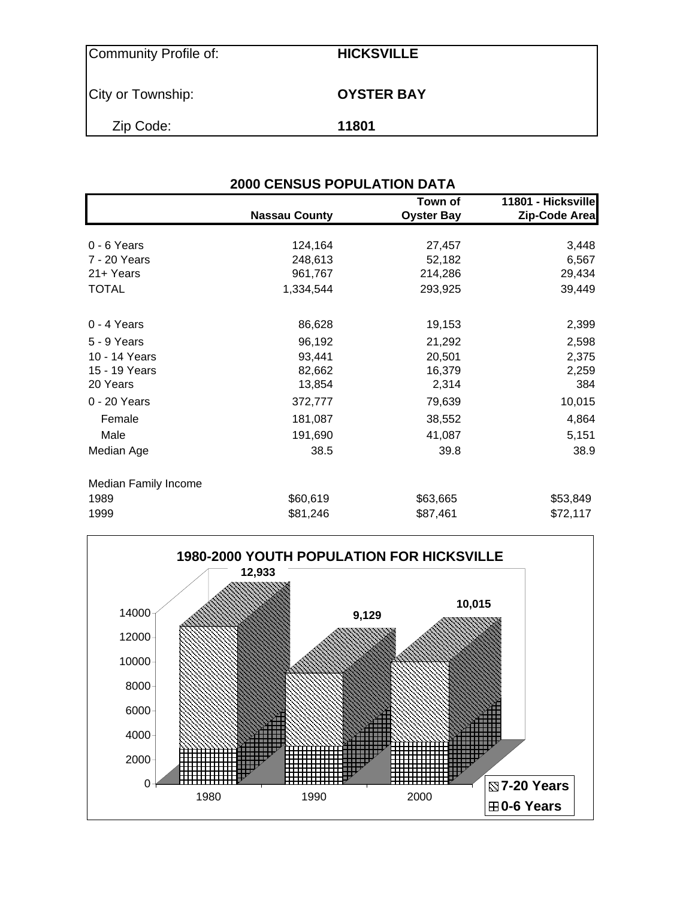| Community Profile of: | <b>HICKSVILLE</b> |
|-----------------------|-------------------|
| City or Township:     | <b>OYSTER BAY</b> |
| Zip Code:             | 11801             |

| <b>2000 CENSUS POPULATION DATA</b> |                      |                              |                                     |  |  |  |  |  |
|------------------------------------|----------------------|------------------------------|-------------------------------------|--|--|--|--|--|
|                                    | <b>Nassau County</b> | Town of<br><b>Oyster Bay</b> | 11801 - Hicksville<br>Zip-Code Area |  |  |  |  |  |
| $0 - 6$ Years                      | 124,164              | 27,457                       | 3,448                               |  |  |  |  |  |
| 7 - 20 Years                       | 248,613              | 52,182                       | 6,567                               |  |  |  |  |  |
| 21+ Years                          | 961,767              | 214,286                      | 29,434                              |  |  |  |  |  |
| <b>TOTAL</b>                       | 1,334,544            | 293,925                      | 39,449                              |  |  |  |  |  |
| 0 - 4 Years                        | 86,628               | 19,153                       | 2,399                               |  |  |  |  |  |
| 5 - 9 Years                        | 96,192               | 21,292                       | 2,598                               |  |  |  |  |  |
| 10 - 14 Years                      | 93,441               | 20,501                       | 2,375                               |  |  |  |  |  |
| 15 - 19 Years                      | 82,662               | 16,379                       | 2,259                               |  |  |  |  |  |
| 20 Years                           | 13,854               | 2,314                        | 384                                 |  |  |  |  |  |
| 0 - 20 Years                       | 372,777              | 79,639                       | 10,015                              |  |  |  |  |  |
| Female                             | 181,087              | 38,552                       | 4,864                               |  |  |  |  |  |
| Male                               | 191,690              | 41,087                       | 5,151                               |  |  |  |  |  |
| Median Age                         | 38.5                 | 39.8                         | 38.9                                |  |  |  |  |  |
| Median Family Income               |                      |                              |                                     |  |  |  |  |  |
| 1989                               | \$60,619             | \$63,665                     | \$53,849                            |  |  |  |  |  |
| 1999                               | \$81,246             | \$87,461                     | \$72,117                            |  |  |  |  |  |

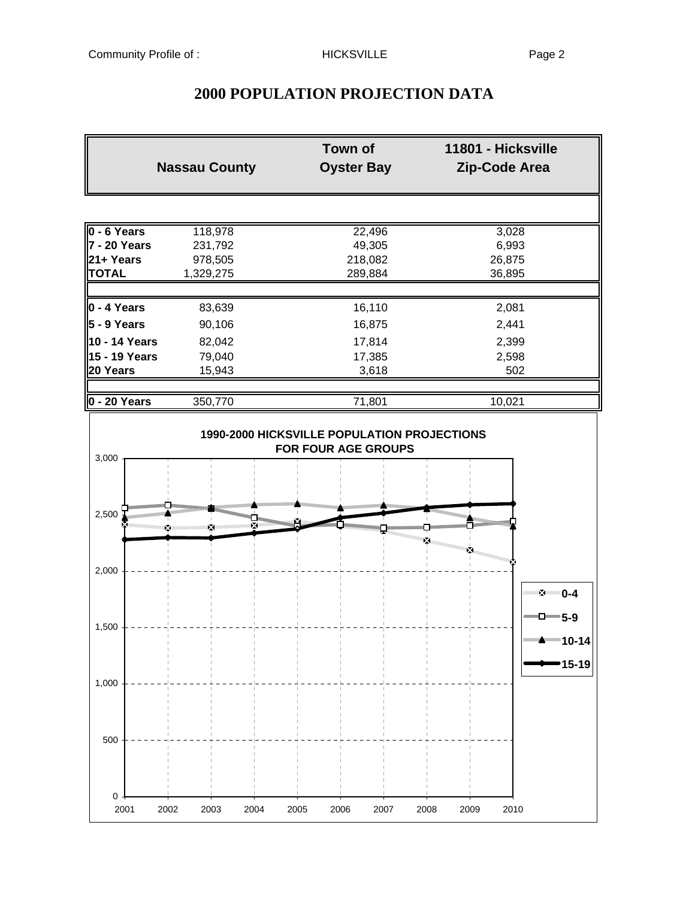# **Town of 11801 - Hicksville Nassau County Oyster Bay Zip-Code Area 0 - 6 Years** 118,978 22,496 22,496 **7 - 20 Years** 231,792 49,305 6,993 **21+ Years** 978,505 218,082 26,875 **TOTAL** 1,329,275 289,884 36,895 **0 - 4 Years** 83,639 16,110 2,081 **5 - 9 Years** 90,106 16,875 2,441 **10 - 14 Years** 82,042 17,814 2,399 **15 - 19 Years** 79,040 17,385 2,598 **20 Years** 15,943 3,618 502 **0 - 20 Years** 350,770 71,801 10,021 **1990-2000 HICKSVILLE POPULATION PROJECTIONS FOR FOUR AGE GROUPS** 3,000 2,500 × ż 2,000 图 **0-4** 0-**5-9** 1,500 **10-14 15-19**1,000 500 0 2001 2002 2003 2004 2005 2006 2007 2008 2009 2010

## **2000 POPULATION PROJECTION DATA**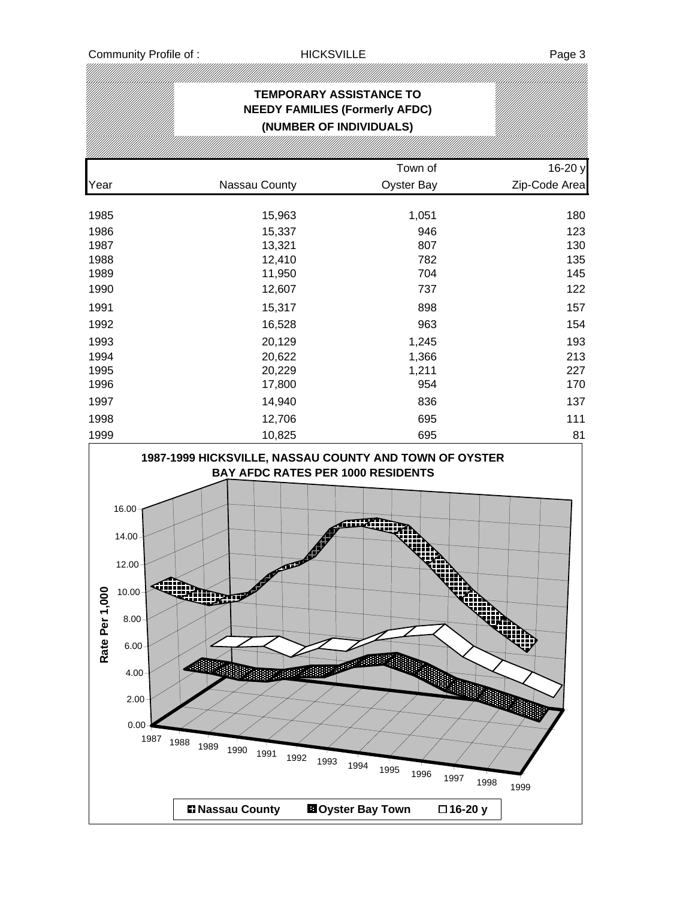# **TEMPORARY ASSISTANCE TO NEEDY FAMILIES (Formerly AFDC) (NUMBER OF INDIVIDUALS)** Town of 16-20 y Year Nassau County Oyster Bay Zip-Code Area 1985 15,963 1,051 180 1986 15,337 946 123 1987 13,321 807 130 1988 12,410 782 135 1989 11,950 704 145 1990 12,607 737 122 1991 15,317 898 157 1992 16,528 963 154 1993 20,129 1,245 193 1994 20,622 1,366 213 1995 20,229 1,211 227 1996 17,800 954 170 1997 14,940 836 137 1998 12,706 695 111 1999 10,825 695 81 **1987-1999 HICKSVILLE, NASSAU COUNTY AND TOWN OF OYSTER BAY AFDC RATES PER 1000 RESIDENTS** 16.00 14.00 12.00 Rate Per 1,000 10.00 **Rate Per 1,000**ΩD 8.00 6.00 **Addition** 4.00 2.00 1987 1988 1989 <sup>1987</sup> <sup>1988</sup> <sup>1989</sup> <sup>1990</sup> <sup>1991</sup> <sup>1992</sup> <sup>1993</sup> <sup>1994</sup> <sup>1995</sup> <sup>1996</sup> <sup>1997</sup> <sup>1998</sup> <sup>1999</sup> **Nassau County Oyster Bay Town 16-20 y**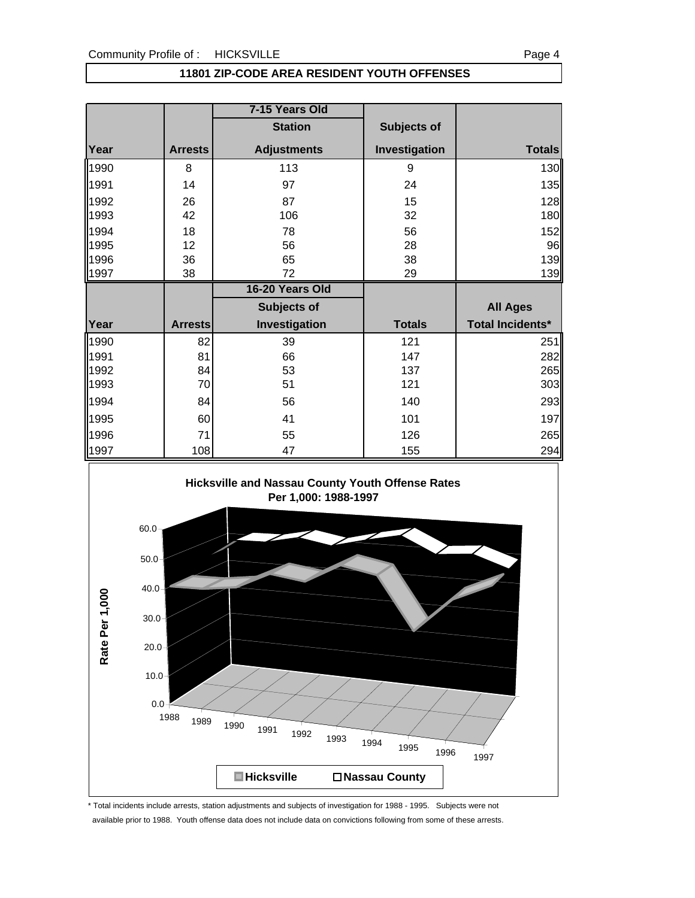### **11801 ZIP-CODE AREA RESIDENT YOUTH OFFENSES**

|      |                | 7-15 Years Old     |               |                  |
|------|----------------|--------------------|---------------|------------------|
|      |                | <b>Station</b>     | Subjects of   |                  |
| Year | <b>Arrests</b> | <b>Adjustments</b> | Investigation | <b>Totals</b>    |
| 1990 | 8              | 113                | 9             | 130              |
| 1991 | 14             | 97                 | 24            | 135              |
| 1992 | 26             | 87                 | 15            | 128              |
| 1993 | 42             | 106                | 32            | 180              |
| 1994 | 18             | 78                 | 56            | 152              |
| 1995 | 12             | 56                 | 28            | 96               |
| 1996 | 36             | 65                 | 38            | 139              |
| 1997 | 38             | 72                 | 29            | 139              |
|      |                |                    |               |                  |
|      |                | 16-20 Years Old    |               |                  |
|      |                | Subjects of        |               | <b>All Ages</b>  |
| Year | <b>Arrests</b> | Investigation      | <b>Totals</b> | Total Incidents* |
| 1990 | 82             | 39                 | 121           | 251              |
| 1991 | 81             | 66                 | 147           | 282              |
| 1992 | 84             | 53                 | 137           | 265              |
| 1993 | 70             | 51                 | 121           | 303              |
| 1994 | 84             | 56                 | 140           |                  |
| 1995 | 60             | 41                 | 101           | 293<br>197       |
| 1996 | 71             | 55                 | 126           | 265              |



\* Total incidents include arrests, station adjustments and subjects of investigation for 1988 - 1995. Subjects were not

available prior to 1988. Youth offense data does not include data on convictions following from some of these arrests.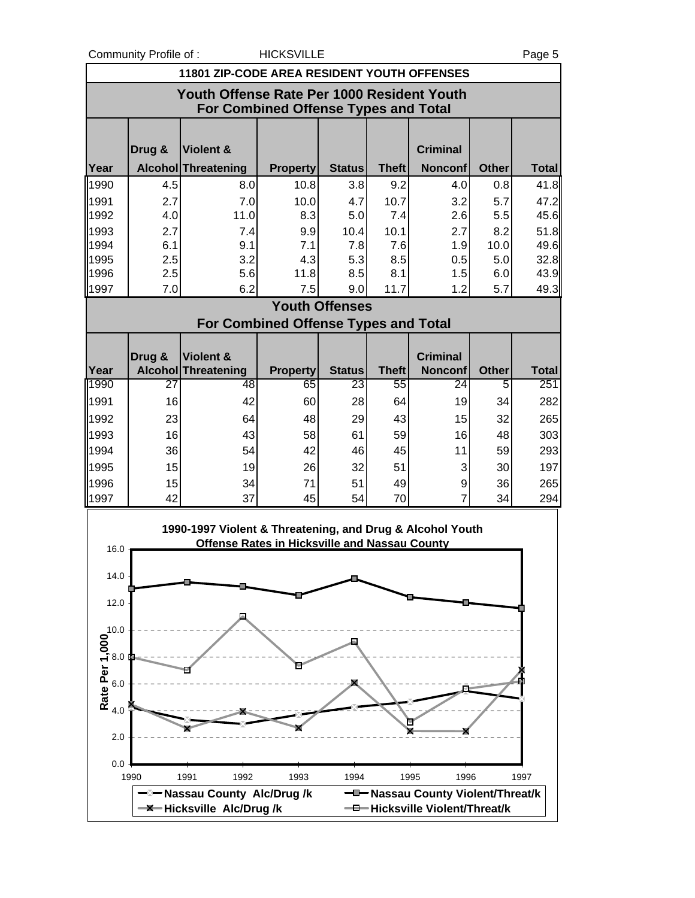Community Profile of : The HICKSVILLE Page 5

| <b>11801 ZIP-CODE AREA RESIDENT YOUTH OFFENSES</b>                                        |            |                                                           |                 |                       |              |                                                   |              |              |  |
|-------------------------------------------------------------------------------------------|------------|-----------------------------------------------------------|-----------------|-----------------------|--------------|---------------------------------------------------|--------------|--------------|--|
| Youth Offense Rate Per 1000 Resident Youth<br><b>For Combined Offense Types and Total</b> |            |                                                           |                 |                       |              |                                                   |              |              |  |
|                                                                                           |            |                                                           |                 |                       |              |                                                   |              |              |  |
|                                                                                           | Drug &     | <b>Violent &amp;</b>                                      |                 |                       |              | <b>Criminal</b>                                   |              |              |  |
| Year                                                                                      |            | Alcohol Threatening                                       | <b>Property</b> | <b>Status</b>         | <b>Theft</b> | <b>Nonconf</b>                                    | <b>Other</b> | <b>Total</b> |  |
| 1990                                                                                      | 4.5        | 8.0                                                       | 10.8            | 3.8                   | 9.2          | 4.0                                               | 0.8          | 41.8         |  |
| 1991                                                                                      | 2.7        | 7.0                                                       | 10.0            | 4.7                   | 10.7         | 3.2                                               | 5.7          | 47.2         |  |
| 1992                                                                                      | 4.0        | 11.0                                                      | 8.3             | 5.0                   | 7.4          | 2.6                                               | 5.5          | 45.6         |  |
| 1993<br>1994                                                                              | 2.7<br>6.1 | 7.4<br>9.1                                                | 9.9<br>7.1      | 10.4<br>7.8           | 10.1<br>7.6  | 2.7<br>1.9                                        | 8.2<br>10.0  | 51.8<br>49.6 |  |
| 1995                                                                                      | 2.5        | 3.2                                                       | 4.3             | 5.3                   | 8.5          | 0.5                                               | 5.0          | 32.8         |  |
| 1996                                                                                      | 2.5        | 5.6                                                       | 11.8            | 8.5                   | 8.1          | 1.5                                               | 6.0          | 43.9         |  |
| 1997                                                                                      | 7.0        | 6.2                                                       | 7.5             | 9.0                   | 11.7         | 1.2                                               | 5.7          | 49.3         |  |
|                                                                                           |            |                                                           |                 | <b>Youth Offenses</b> |              |                                                   |              |              |  |
|                                                                                           |            | For Combined Offense Types and Total                      |                 |                       |              |                                                   |              |              |  |
|                                                                                           | Drug &     | Violent &                                                 |                 |                       |              | <b>Criminal</b>                                   |              |              |  |
| Year                                                                                      |            | <b>Alcohol Threatening</b>                                | <b>Property</b> | <b>Status</b>         | <b>Theft</b> | <b>Nonconf</b>                                    | <b>Other</b> | <b>Total</b> |  |
| 1990                                                                                      | 27         | 48                                                        | 65              | 23                    | 55           | $\overline{24}$                                   | 5            | 251          |  |
| 1991                                                                                      | 16         | 42                                                        | 60              | 28                    | 64           | 19                                                | 34           | 282          |  |
| 1992                                                                                      | 23         | 64                                                        | 48              | 29                    | 43           | 15                                                | 32           | 265          |  |
| 1993                                                                                      | 16         | 43                                                        | 58              | 61                    | 59           | 16                                                | 48           | 303          |  |
| 1994                                                                                      | 36         | 54                                                        | 42              | 46                    | 45           | 11                                                | 59           | 293          |  |
| 1995                                                                                      | 15         | 19                                                        | 26              | 32                    | 51           | 3                                                 | 30           | 197          |  |
| 1996                                                                                      | 15         | 34                                                        | 71              | 51                    | 49           | 9                                                 | 36           | 265          |  |
| 1997                                                                                      | 42         | 37                                                        | 45              | 54                    | 70           | $\overline{7}$                                    | 34           | 294          |  |
|                                                                                           |            | 1990-1997 Violent & Threatening, and Drug & Alcohol Youth |                 |                       |              |                                                   |              |              |  |
| 16.0                                                                                      |            | <b>Offense Rates in Hicksville and Nassau County</b>      |                 |                       |              |                                                   |              |              |  |
|                                                                                           |            |                                                           |                 |                       |              |                                                   |              |              |  |
| 14.0                                                                                      |            |                                                           |                 |                       |              |                                                   |              |              |  |
| 12.0                                                                                      |            |                                                           |                 |                       |              |                                                   |              |              |  |
| 10.0                                                                                      |            |                                                           |                 |                       |              |                                                   |              |              |  |
|                                                                                           |            |                                                           |                 |                       |              |                                                   |              |              |  |
|                                                                                           |            |                                                           |                 |                       |              |                                                   |              |              |  |
|                                                                                           |            |                                                           |                 |                       |              |                                                   |              |              |  |
| Rate Per 1,000                                                                            |            |                                                           |                 |                       |              |                                                   |              |              |  |
|                                                                                           |            |                                                           |                 |                       |              |                                                   |              |              |  |
| 2.0                                                                                       |            |                                                           |                 |                       |              |                                                   |              |              |  |
|                                                                                           |            |                                                           |                 |                       |              |                                                   |              |              |  |
| 0.0                                                                                       |            |                                                           |                 |                       |              |                                                   |              |              |  |
|                                                                                           | 1990       | 1991<br>1992<br><sup>-</sup> Nassau County Alc/Drug/k     | 1993            | 1994                  |              | 1995<br>1996<br>-D-Nassau County Violent/Threat/k |              | 1997         |  |
|                                                                                           |            | -X-Hicksville Alc/Drug/k                                  |                 |                       |              | - Hicksville Violent/Threat/k                     |              |              |  |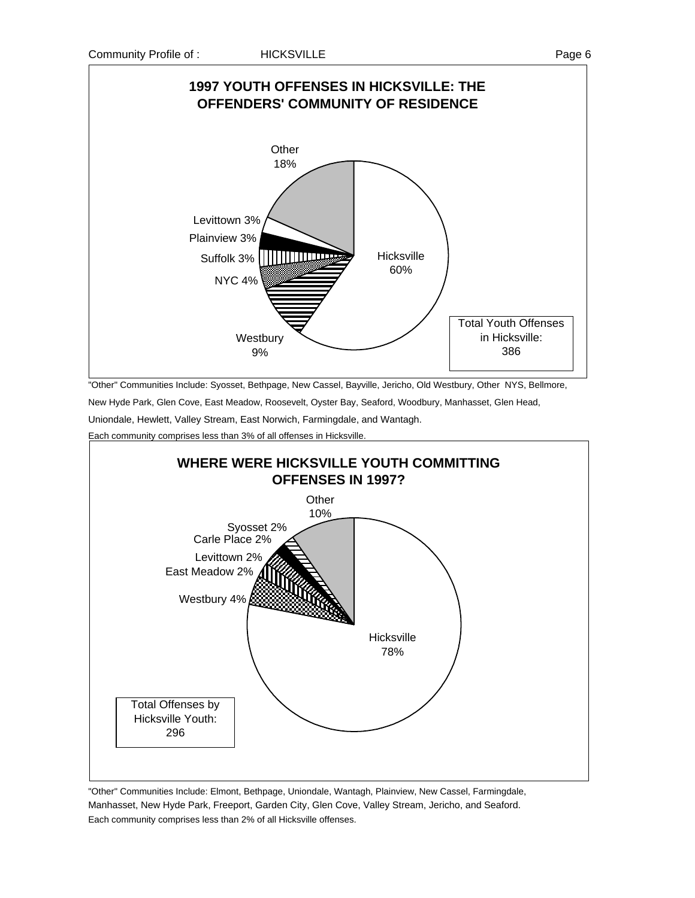

"Other" Communities Include: Syosset, Bethpage, New Cassel, Bayville, Jericho, Old Westbury, Other NYS, Bellmore,

New Hyde Park, Glen Cove, East Meadow, Roosevelt, Oyster Bay, Seaford, Woodbury, Manhasset, Glen Head,

Uniondale, Hewlett, Valley Stream, East Norwich, Farmingdale, and Wantagh.

Each community comprises less than 3% of all offenses in Hicksville



"Other" Communities Include: Elmont, Bethpage, Uniondale, Wantagh, Plainview, New Cassel, Farmingdale, Manhasset, New Hyde Park, Freeport, Garden City, Glen Cove, Valley Stream, Jericho, and Seaford. Each community comprises less than 2% of all Hicksville offenses.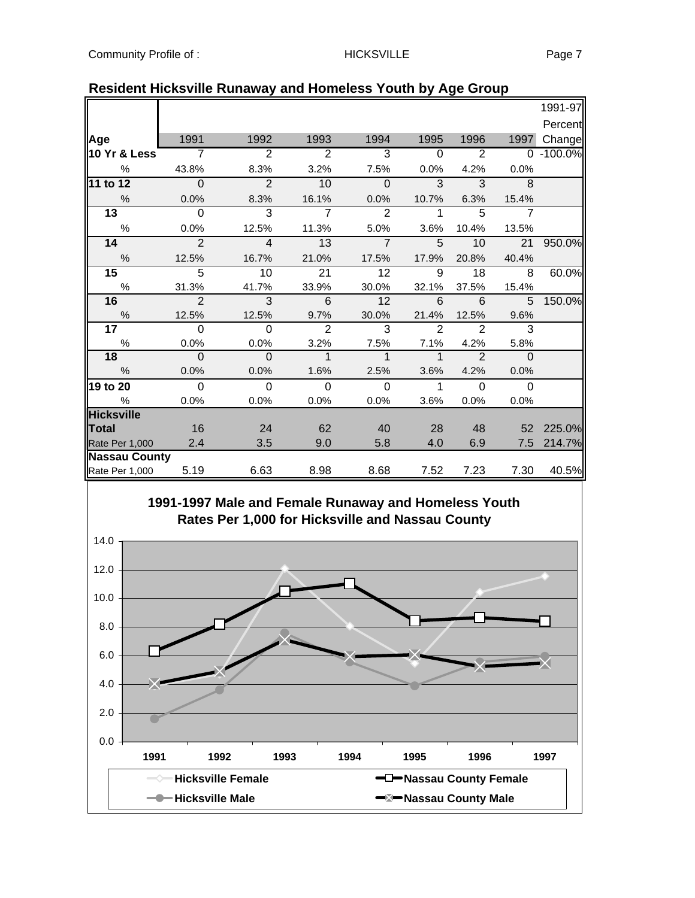|                      |                |                |                |                |               |                |                | 1991-97   |
|----------------------|----------------|----------------|----------------|----------------|---------------|----------------|----------------|-----------|
|                      |                |                |                |                |               |                |                | Percent   |
| Age                  | 1991           | 1992           | 1993           | 1994           | 1995          | 1996           | 1997           | Change    |
| 10 Yr & Less         | $\overline{7}$ | $\overline{2}$ | $\overline{2}$ | 3              | $\Omega$      | 2              |                | 0 -100.0% |
| $\%$                 | 43.8%          | 8.3%           | 3.2%           | 7.5%           | 0.0%          | 4.2%           | 0.0%           |           |
| 11 to 12             | $\Omega$       | $\overline{2}$ | 10             | $\Omega$       | 3             | $\overline{3}$ | 8              |           |
| $\%$                 | 0.0%           | 8.3%           | 16.1%          | 0.0%           | 10.7%         | 6.3%           | 15.4%          |           |
| 13                   | $\mathbf 0$    | $\overline{3}$ | $\overline{7}$ | $\overline{2}$ | $\mathbf{1}$  | 5              | $\overline{7}$ |           |
| $\%$                 | 0.0%           | 12.5%          | 11.3%          | 5.0%           | 3.6%          | 10.4%          | 13.5%          |           |
| 14                   | $\overline{2}$ | $\overline{4}$ | 13             | $\overline{7}$ | 5             | 10             | 21             | 950.0%    |
| $\frac{0}{6}$        | 12.5%          | 16.7%          | 21.0%          | 17.5%          | 17.9%         | 20.8%          | 40.4%          |           |
| 15                   | $\overline{5}$ | 10             | 21             | 12             | 9             | 18             | 8              | 60.0%     |
| $\%$                 | 31.3%          | 41.7%          | 33.9%          | 30.0%          | 32.1%         | 37.5%          | 15.4%          |           |
| 16                   | $\mathfrak{p}$ | $\overline{3}$ | 6              | 12             | 6             | 6              | 5              | 150.0%    |
| $\frac{0}{6}$        | 12.5%          | 12.5%          | 9.7%           | 30.0%          | 21.4%         | 12.5%          | 9.6%           |           |
| 17                   | $\Omega$       | $\Omega$       | $\overline{2}$ | 3              | $\mathcal{P}$ | $\mathcal{P}$  | 3              |           |
| %                    | 0.0%           | 0.0%           | 3.2%           | 7.5%           | 7.1%          | 4.2%           | 5.8%           |           |
| 18                   | $\Omega$       | $\mathbf 0$    | $\mathbf{1}$   | $\mathbf{1}$   | $\mathbf{1}$  | $\mathcal{P}$  | $\Omega$       |           |
| $\frac{0}{0}$        | 0.0%           | 0.0%           | 1.6%           | 2.5%           | 3.6%          | 4.2%           | 0.0%           |           |
| 19 to 20             | $\Omega$       | $\Omega$       | $\Omega$       | $\Omega$       | $\mathbf{1}$  | $\Omega$       | $\Omega$       |           |
| %                    | 0.0%           | 0.0%           | 0.0%           | 0.0%           | 3.6%          | 0.0%           | 0.0%           |           |
| <b>Hicksville</b>    |                |                |                |                |               |                |                |           |
| Total                | 16             | 24             | 62             | 40             | 28            | 48             | 52             | 225.0%    |
| Rate Per 1,000       | 2.4            | 3.5            | 9.0            | 5.8            | 4.0           | 6.9            | 7.5            | 214.7%    |
| <b>Nassau County</b> |                |                |                |                |               |                |                |           |
| Rate Per 1,000       | 5.19           | 6.63           | 8.98           | 8.68           | 7.52          | 7.23           | 7.30           | 40.5%     |

### **Resident Hicksville Runaway and Homeless Youth by Age Group**

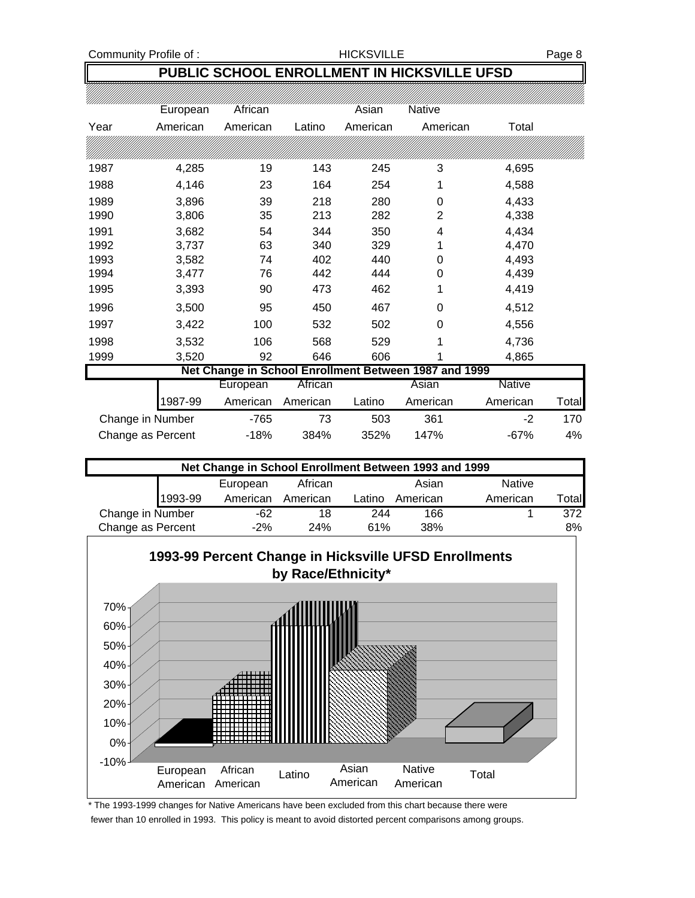Community Profile of : The South of HICKSVILLE Page 8

# **PUBLIC SCHOOL ENROLLMENT IN HICKSVILLE UFSD**

|      | European | African  |          | Asian    | <b>Native</b>                                         |               |       |
|------|----------|----------|----------|----------|-------------------------------------------------------|---------------|-------|
| Year | American | American | Latino   | American | American                                              | Total         |       |
|      |          |          |          |          |                                                       |               |       |
| 1987 | 4,285    | 19       | 143      | 245      | 3                                                     | 4,695         |       |
| 1988 | 4,146    | 23       | 164      | 254      |                                                       | 4,588         |       |
| 1989 | 3,896    | 39       | 218      | 280      | 0                                                     | 4,433         |       |
| 1990 | 3,806    | 35       | 213      | 282      | 2                                                     | 4,338         |       |
| 1991 | 3,682    | 54       | 344      | 350      | 4                                                     | 4,434         |       |
| 1992 | 3,737    | 63       | 340      | 329      |                                                       | 4,470         |       |
| 1993 | 3,582    | 74       | 402      | 440      | 0                                                     | 4,493         |       |
| 1994 | 3,477    | 76       | 442      | 444      | 0                                                     | 4,439         |       |
| 1995 | 3,393    | 90       | 473      | 462      | 1                                                     | 4,419         |       |
| 1996 | 3,500    | 95       | 450      | 467      | 0                                                     | 4,512         |       |
| 1997 | 3,422    | 100      | 532      | 502      | 0                                                     | 4,556         |       |
| 1998 | 3,532    | 106      | 568      | 529      | 1                                                     | 4,736         |       |
| 1999 | 3,520    | 92       | 646      | 606      |                                                       | 4,865         |       |
|      |          |          |          |          | Net Change in School Enrollment Between 1987 and 1999 |               |       |
|      |          | European | African  |          | Asian                                                 | <b>Native</b> |       |
|      | 1987-99  | American | American | Latino   | American                                              | American      | Total |

|                   | . |      | Tunonoan Tunonoan | <u>Luurv</u> |      | , ,,,,,,,,,,,,, | . טנעו |
|-------------------|---|------|-------------------|--------------|------|-----------------|--------|
| Change in Number  |   | -765 |                   | 503          | 361  | -2              | 170    |
| Change as Percent |   | -18% | 384%              | 352%         | 147% | $-67%$          | 4%     |
|                   |   |      |                   |              |      |                 |        |

| Net Change in School Enrollment Between 1993 and 1999 |          |          |               |          |          |        |  |  |
|-------------------------------------------------------|----------|----------|---------------|----------|----------|--------|--|--|
|                                                       |          | Asian    | <b>Native</b> |          |          |        |  |  |
| 1993-99                                               | American | American | Latino        | American | American | Totall |  |  |
| Change in Number                                      | -62      | 18       | 244           | 166      |          | 372    |  |  |
| Change as Percent                                     | $-2%$    | 24%      | 61%           | 38%      |          | 8%     |  |  |



\* The 1993-1999 changes for Native Americans have been excluded from this chart because there were fewer than 10 enrolled in 1993. This policy is meant to avoid distorted percent comparisons among groups.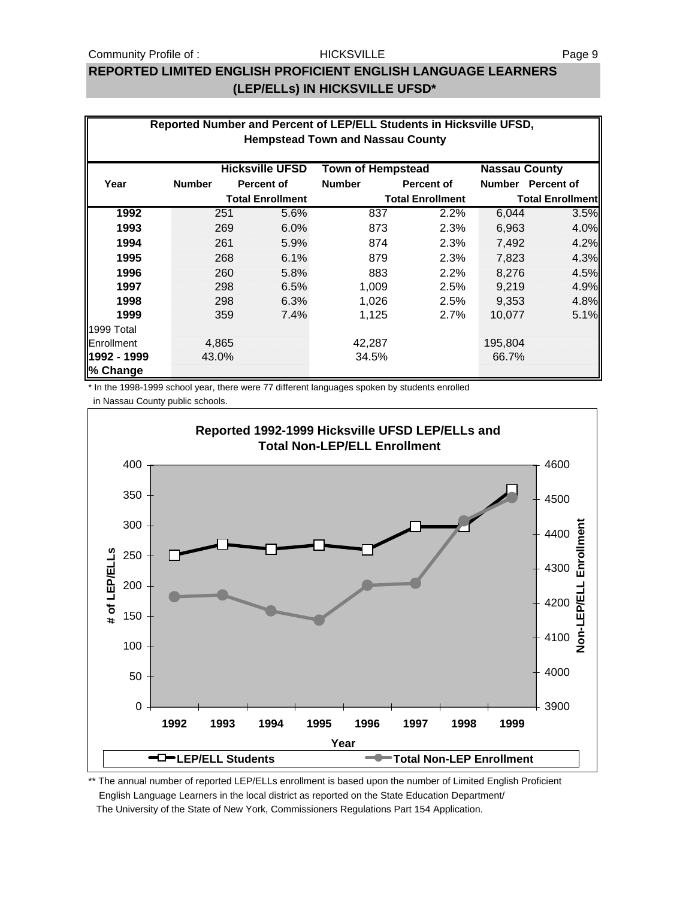### Community Profile of : The Page 9 HICKSVILLE **For a state of the Page 9**

### **HICKSVILLE**

## **REPORTED LIMITED ENGLISH PROFICIENT ENGLISH LANGUAGE LEARNERS (LEP/ELLs) IN HICKSVILLE UFSD\***

| Reported Number and Percent of LEP/ELL Students in Hicksville UFSD,<br><b>Hempstead Town and Nassau County</b> |               |                         |                        |                          |                   |                         |                   |
|----------------------------------------------------------------------------------------------------------------|---------------|-------------------------|------------------------|--------------------------|-------------------|-------------------------|-------------------|
|                                                                                                                |               |                         |                        |                          |                   |                         |                   |
|                                                                                                                |               |                         | <b>Hicksville UFSD</b> | <b>Town of Hempstead</b> |                   | <b>Nassau County</b>    |                   |
| Year                                                                                                           | <b>Number</b> |                         | <b>Percent of</b>      | <b>Number</b>            | <b>Percent of</b> | <b>Number</b>           | <b>Percent of</b> |
|                                                                                                                |               | <b>Total Enrollment</b> |                        | <b>Total Enrollment</b>  |                   | <b>Total Enrollment</b> |                   |
| 1992                                                                                                           |               | 251                     | 5.6%                   | 837                      | 2.2%              | 6,044                   | 3.5%              |
| 1993                                                                                                           |               | 269                     | 6.0%                   | 873                      | 2.3%              | 6,963                   | 4.0%              |
| 1994                                                                                                           |               | 261                     | 5.9%                   | 874                      | 2.3%              | 7,492                   | 4.2%              |
| 1995                                                                                                           |               | 268                     | 6.1%                   | 879                      | 2.3%              | 7,823                   | 4.3%              |
| 1996                                                                                                           |               | 260                     | 5.8%                   | 883                      | 2.2%              | 8,276                   | 4.5%              |
| 1997                                                                                                           |               | 298                     | 6.5%                   | 1,009                    | 2.5%              | 9,219                   | 4.9%              |
| 1998                                                                                                           |               | 298                     | 6.3%                   | 1,026                    | 2.5%              | 9,353                   | 4.8%              |
| 1999                                                                                                           |               | 359                     | 7.4%                   | 1,125                    | 2.7%              | 10,077                  | 5.1%              |
| 1999 Total                                                                                                     |               |                         |                        |                          |                   |                         |                   |
| Enrollment                                                                                                     |               | 4,865                   |                        | 42,287                   |                   | 195,804                 |                   |
| l1992 - 1999                                                                                                   |               | 43.0%                   |                        | 34.5%                    |                   | 66.7%                   |                   |
| % Change                                                                                                       |               |                         |                        |                          |                   |                         |                   |

\* In the 1998-1999 school year, there were 77 different languages spoken by students enrolled

in Nassau County public schools.



\*\* The annual number of reported LEP/ELLs enrollment is based upon the number of Limited English Proficient English Language Learners in the local district as reported on the State Education Department/ The University of the State of New York, Commissioners Regulations Part 154 Application.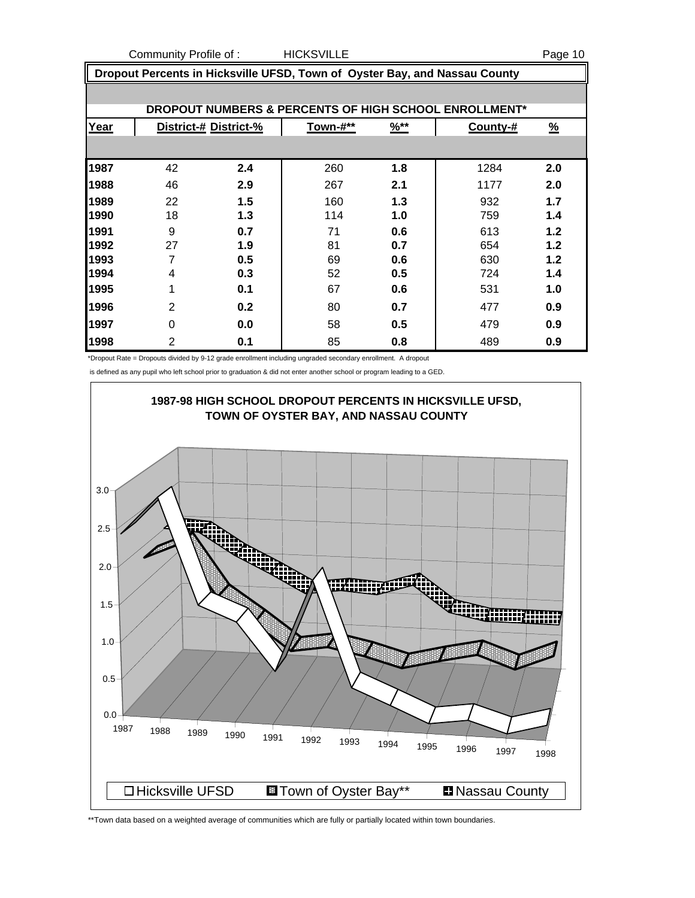Community Profile of : The HICKSVILLE **Community Profile of :** The HICKSVILLE

| Dropout Percents in Hicksville UFSD, Town of Oyster Bay, and Nassau County |                |                       |                 |                  |                                                       |               |  |  |  |  |
|----------------------------------------------------------------------------|----------------|-----------------------|-----------------|------------------|-------------------------------------------------------|---------------|--|--|--|--|
|                                                                            |                |                       |                 |                  |                                                       |               |  |  |  |  |
|                                                                            |                |                       |                 |                  | DROPOUT NUMBERS & PERCENTS OF HIGH SCHOOL ENROLLMENT* |               |  |  |  |  |
| Year                                                                       |                | District-# District-% | <b>Town-#**</b> | $\frac{9}{6}$ ** | County-#                                              | $\frac{9}{6}$ |  |  |  |  |
|                                                                            |                |                       |                 |                  |                                                       |               |  |  |  |  |
| 1987                                                                       | 42             | 2.4                   | 260             | 1.8              | 1284                                                  | 2.0           |  |  |  |  |
| 1988                                                                       | 46             | 2.9                   | 267             | 2.1              | 1177                                                  | 2.0           |  |  |  |  |
| 1989                                                                       | 22             | 1.5                   | 160             | 1.3              | 932                                                   | 1.7           |  |  |  |  |
| 1990                                                                       | 18             | 1.3                   | 114             | 1.0              | 759                                                   | 1.4           |  |  |  |  |
| 1991                                                                       | 9              | 0.7                   | 71              | 0.6              | 613                                                   | 1.2           |  |  |  |  |
| 1992                                                                       | 27             | 1.9                   | 81              | 0.7              | 654                                                   | 1.2           |  |  |  |  |
| 1993                                                                       | 7              | 0.5                   | 69              | 0.6              | 630                                                   | 1.2           |  |  |  |  |
| 1994                                                                       | 4              | 0.3                   | 52              | 0.5              | 724                                                   | 1.4           |  |  |  |  |
| 1995                                                                       | 1              | 0.1                   | 67              | 0.6              | 531                                                   | 1.0           |  |  |  |  |
| 1996                                                                       | $\overline{2}$ | 0.2                   | 80              | 0.7              | 477                                                   | 0.9           |  |  |  |  |
| 1997                                                                       | 0              | 0.0                   | 58              | 0.5              | 479                                                   | 0.9           |  |  |  |  |
| 1998                                                                       | 2              | 0.1                   | 85              | 0.8              | 489                                                   | 0.9           |  |  |  |  |

\*Dropout Rate = Dropouts divided by 9-12 grade enrollment including ungraded secondary enrollment. A dropout

is defined as any pupil who left school prior to graduation & did not enter another school or program leading to a GED.



\*\*Town data based on a weighted average of communities which are fully or partially located within town boundaries.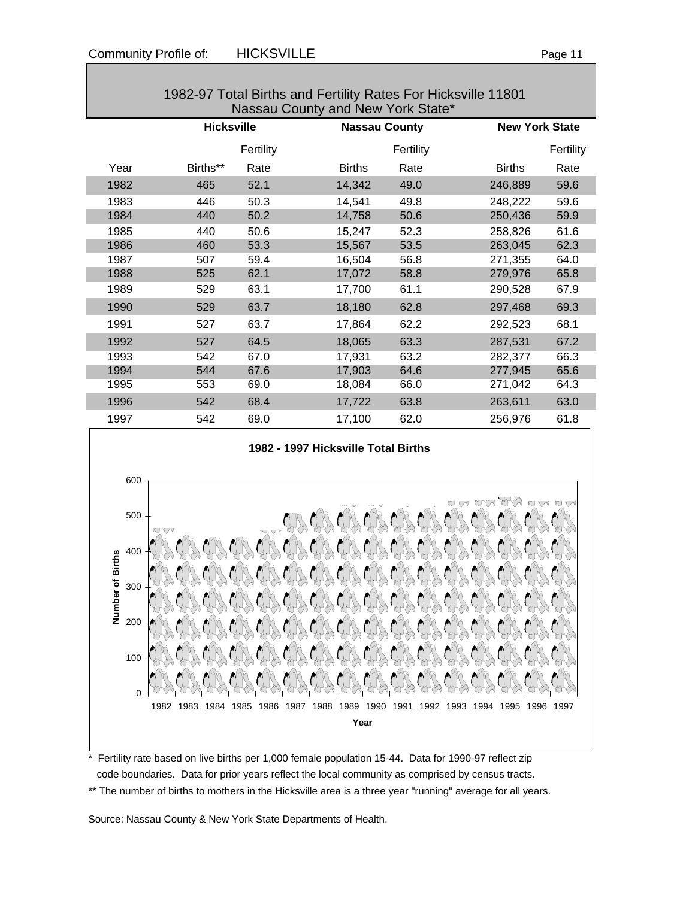| Ю<br>r<br>г |  |  |
|-------------|--|--|
|             |  |  |

| 1982-97 Total Births and Fertility Rates For Hicksville 11801<br>Nassau County and New York State* |                   |           |                      |           |                       |           |  |  |
|----------------------------------------------------------------------------------------------------|-------------------|-----------|----------------------|-----------|-----------------------|-----------|--|--|
|                                                                                                    | <b>Hicksville</b> |           | <b>Nassau County</b> |           | <b>New York State</b> |           |  |  |
|                                                                                                    |                   | Fertility |                      | Fertility |                       | Fertility |  |  |
| Year                                                                                               | Births**          | Rate      | <b>Births</b>        | Rate      | <b>Births</b>         | Rate      |  |  |
| 1982                                                                                               | 465               | 52.1      | 14,342               | 49.0      | 246,889               | 59.6      |  |  |
| 1983                                                                                               | 446               | 50.3      | 14,541               | 49.8      | 248,222               | 59.6      |  |  |
| 1984                                                                                               | 440               | 50.2      | 14,758               | 50.6      | 250,436               | 59.9      |  |  |
| 1985                                                                                               | 440               | 50.6      | 15,247               | 52.3      | 258,826               | 61.6      |  |  |
| 1986                                                                                               | 460               | 53.3      | 15,567               | 53.5      | 263,045               | 62.3      |  |  |
| 1987                                                                                               | 507               | 59.4      | 16,504               | 56.8      | 271,355               | 64.0      |  |  |
| 1988                                                                                               | 525               | 62.1      | 17,072               | 58.8      | 279,976               | 65.8      |  |  |
| 1989                                                                                               | 529               | 63.1      | 17,700               | 61.1      | 290,528               | 67.9      |  |  |
| 1990                                                                                               | 529               | 63.7      | 18,180               | 62.8      | 297,468               | 69.3      |  |  |
| 1991                                                                                               | 527               | 63.7      | 17,864               | 62.2      | 292,523               | 68.1      |  |  |
| 1992                                                                                               | 527               | 64.5      | 18,065               | 63.3      | 287,531               | 67.2      |  |  |
| 1993                                                                                               | 542               | 67.0      | 17,931               | 63.2      | 282,377               | 66.3      |  |  |
| 1994                                                                                               | 544               | 67.6      | 17,903               | 64.6      | 277,945               | 65.6      |  |  |
| 1995                                                                                               | 553               | 69.0      | 18,084               | 66.0      | 271,042               | 64.3      |  |  |
| 1996                                                                                               | 542               | 68.4      | 17,722               | 63.8      | 263,611               | 63.0      |  |  |
| 1997                                                                                               | 542               | 69.0      | 17,100               | 62.0      | 256,976               | 61.8      |  |  |
|                                                                                                    |                   |           |                      |           |                       |           |  |  |





\* Fertility rate based on live births per 1,000 female population 15-44. Data for 1990-97 reflect zip code boundaries. Data for prior years reflect the local community as comprised by census tracts. \*\* The number of births to mothers in the Hicksville area is a three year "running" average for all years.

Source: Nassau County & New York State Departments of Health.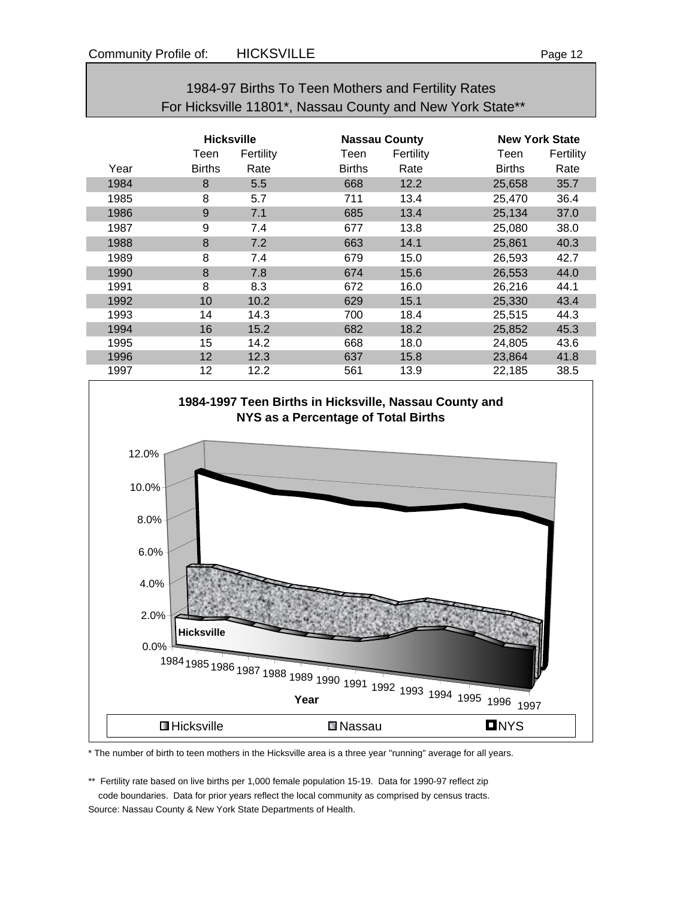# 1984-97 Births To Teen Mothers and Fertility Rates For Hicksville 11801\*, Nassau County and New York State\*\*

|      | <b>Hicksville</b> |           |               | <b>Nassau County</b> |               | <b>New York State</b> |  |
|------|-------------------|-----------|---------------|----------------------|---------------|-----------------------|--|
|      | Teen              | Fertility | Teen          | Fertility            | Teen          | Fertility             |  |
| Year | <b>Births</b>     | Rate      | <b>Births</b> | Rate                 | <b>Births</b> | Rate                  |  |
| 1984 | 8                 | 5.5       | 668           | 12.2                 | 25,658        | 35.7                  |  |
| 1985 | 8                 | 5.7       | 711           | 13.4                 | 25,470        | 36.4                  |  |
| 1986 | 9                 | 7.1       | 685           | 13.4                 | 25,134        | 37.0                  |  |
| 1987 | 9                 | 7.4       | 677           | 13.8                 | 25,080        | 38.0                  |  |
| 1988 | 8                 | 7.2       | 663           | 14.1                 | 25,861        | 40.3                  |  |
| 1989 | 8                 | 7.4       | 679           | 15.0                 | 26,593        | 42.7                  |  |
| 1990 | 8                 | 7.8       | 674           | 15.6                 | 26,553        | 44.0                  |  |
| 1991 | 8                 | 8.3       | 672           | 16.0                 | 26,216        | 44.1                  |  |
| 1992 | 10                | 10.2      | 629           | 15.1                 | 25,330        | 43.4                  |  |
| 1993 | 14                | 14.3      | 700           | 18.4                 | 25,515        | 44.3                  |  |
| 1994 | 16                | 15.2      | 682           | 18.2                 | 25,852        | 45.3                  |  |
| 1995 | 15                | 14.2      | 668           | 18.0                 | 24,805        | 43.6                  |  |
| 1996 | 12                | 12.3      | 637           | 15.8                 | 23,864        | 41.8                  |  |
| 1997 | 12                | 12.2      | 561           | 13.9                 | 22,185        | 38.5                  |  |



\* The number of birth to teen mothers in the Hicksville area is a three year "running" average for all years.

\*\* Fertility rate based on live births per 1,000 female population 15-19. Data for 1990-97 reflect zip code boundaries. Data for prior years reflect the local community as comprised by census tracts. Source: Nassau County & New York State Departments of Health.